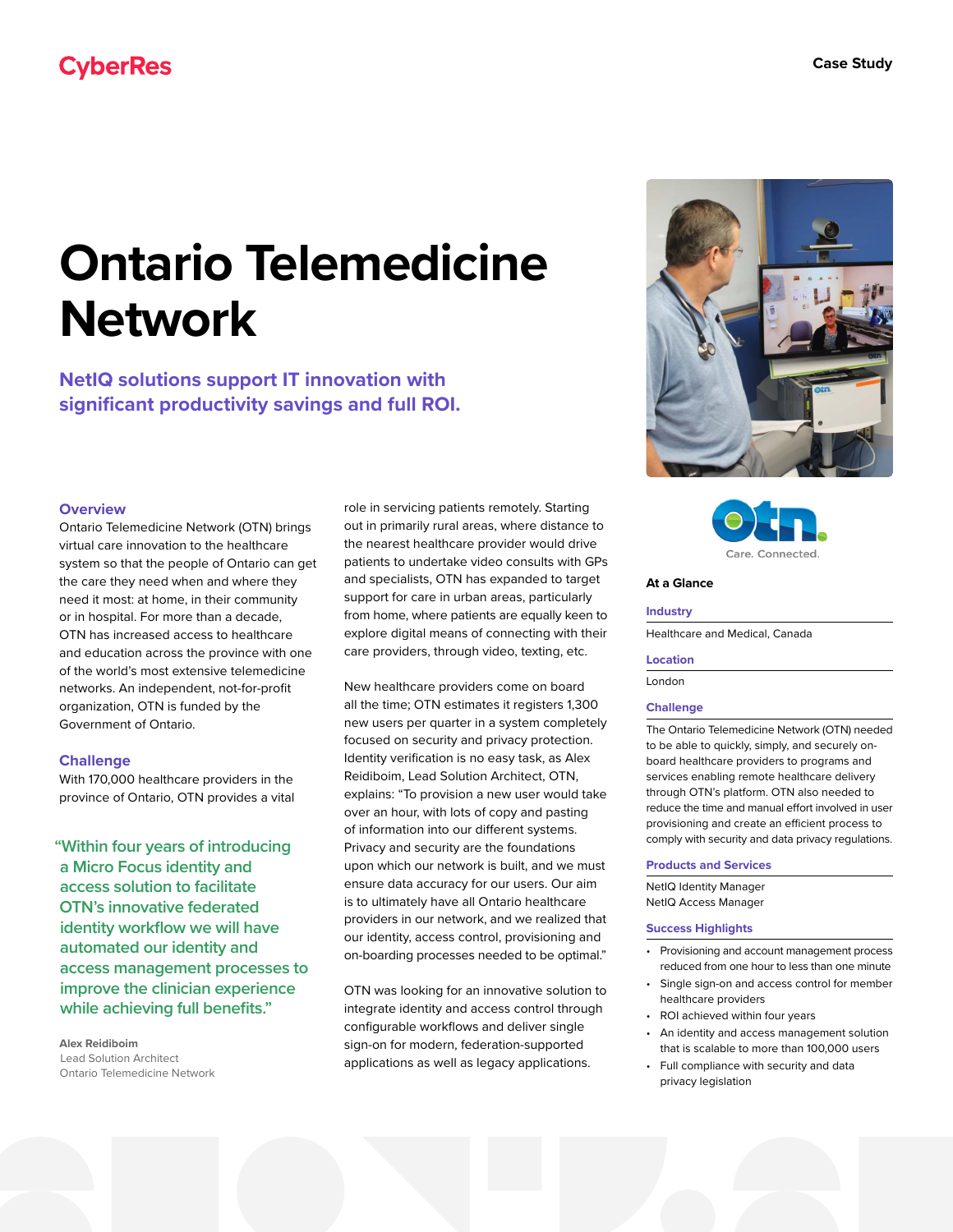# **Ontario Telemedicine Network**

**NetIQ solutions support IT innovation with significant productivity savings and full ROI.**

# **Overview**

Ontario Telemedicine Network (OTN) brings virtual care innovation to the healthcare system so that the people of Ontario can get the care they need when and where they need it most: at home, in their community or in hospital. For more than a decade, OTN has increased access to healthcare and education across the province with one of the world's most extensive telemedicine networks. An independent, not-for-profit organization, OTN is funded by the Government of Ontario.

# **Challenge**

With 170,000 healthcare providers in the province of Ontario, OTN provides a vital

**"Within four years of introducing a Micro Focus identity and access solution to facilitate OTN's innovative federated identity workflow we will have automated our identity and access management processes to improve the clinician experience while achieving full benefits."**

**Alex Reidiboim** Lead Solution Architect Ontario Telemedicine Network role in servicing patients remotely. Starting out in primarily rural areas, where distance to the nearest healthcare provider would drive patients to undertake video consults with GPs and specialists, OTN has expanded to target support for care in urban areas, particularly from home, where patients are equally keen to explore digital means of connecting with their care providers, through video, texting, etc.

New healthcare providers come on board all the time; OTN estimates it registers 1,300 new users per quarter in a system completely focused on security and privacy protection. Identity verification is no easy task, as Alex Reidiboim, Lead Solution Architect, OTN, explains: "To provision a new user would take over an hour, with lots of copy and pasting of information into our different systems. Privacy and security are the foundations upon which our network is built, and we must ensure data accuracy for our users. Our aim is to ultimately have all Ontario healthcare providers in our network, and we realized that our identity, access control, provisioning and on-boarding processes needed to be optimal."

OTN was looking for an innovative solution to integrate identity and access control through configurable workflows and deliver single sign-on for modern, federation-supported applications as well as legacy applications.





# **At a Glance**

## **Industry**

Healthcare and Medical, Canada

#### **Location**

London

# **Challenge**

The Ontario Telemedicine Network (OTN) needed to be able to quickly, simply, and securely onboard healthcare providers to programs and services enabling remote healthcare delivery through OTN's platform. OTN also needed to reduce the time and manual effort involved in user provisioning and create an efficient process to comply with security and data privacy regulations.

## **Products and Services**

NetIQ Identity Manager NetIQ Access Manager

### **Success Highlights**

- Provisioning and account management process reduced from one hour to less than one minute
- Single sign-on and access control for member healthcare providers
- ROI achieved within four years
- An identity and access management solution that is scalable to more than 100,000 users
- Full compliance with security and data privacy legislation